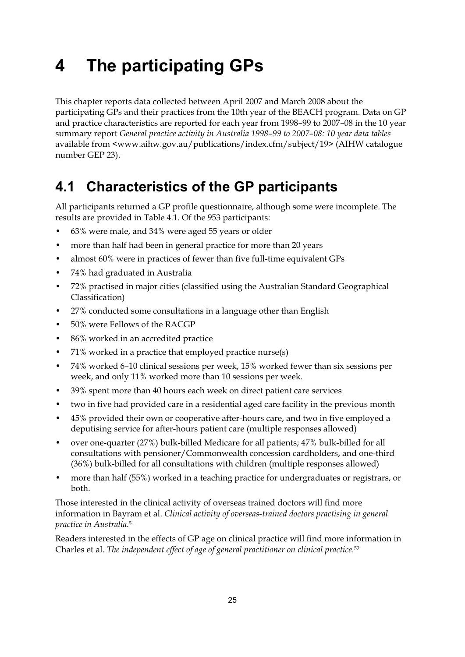# $\overline{\mathbf{A}}$ **4 The participating GPs**

This chapter reports data collected between April 2007 and March 2008 about the participating GPs and their practices from the 10th year of the BEACH program. Data on GP and practice characteristics are reported for each year from 1998–99 to 2007–08 in the 10 year summary report *General practice activity in Australia 1998–99 to 2007–08: 10 year data tables* available from <www.aihw.gov.au/publications/index.cfm/subject/19> (AIHW catalogue number GEP 23).

# $4.1$

**4.1 Characteristics of the GP participants**  All participants returned a GP profile questionnaire, although some were incomplete. The results are provided in Table 4.1. Of the 953 participants:

- 63% were male, and 34% were aged 55 years or older
- more than half had been in general practice for more than 20 years
- almost 60% were in practices of fewer than five full-time equivalent GPs
- 74% had graduated in Australia
- 72% practised in major cities (classified using the Australian Standard Geographical Classification)
- 27% conducted some consultations in a language other than English
- 50% were Fellows of the RACGP
- 86% worked in an accredited practice
- 71% worked in a practice that employed practice nurse(s)
- 74% worked 6–10 clinical sessions per week, 15% worked fewer than six sessions per week, and only 11% worked more than 10 sessions per week.
- 39% spent more than 40 hours each week on direct patient care services
- two in five had provided care in a residential aged care facility in the previous month
- 45% provided their own or cooperative after-hours care, and two in five employed a deputising service for after-hours patient care (multiple responses allowed)
- over one-quarter (27%) bulk-billed Medicare for all patients; 47% bulk-billed for all consultations with pensioner/Commonwealth concession cardholders, and one-third (36%) bulk-billed for all consultations with children (multiple responses allowed)
- more than half (55%) worked in a teaching practice for undergraduates or registrars, or both.

Those interested in the clinical activity of overseas trained doctors will find more information in Bayram et al. *Clinical activity of overseas-trained doctors practising in general practice in Australia*.51

Readers interested in the effects of GP age on clinical practice will find more information in Charles et al. *The independent effect of age of general practitioner on clinical practice*.52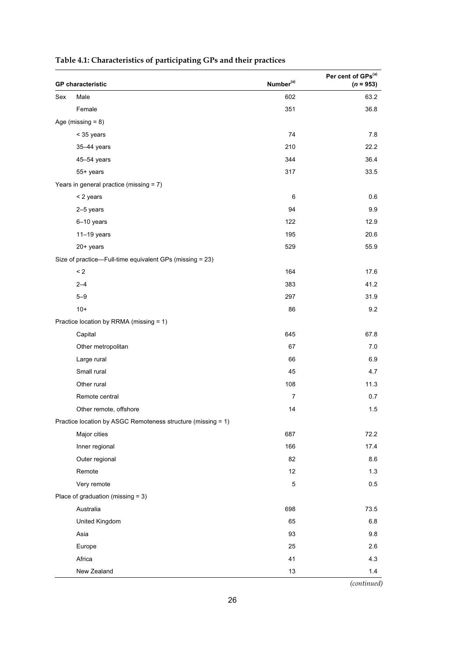| <b>GP</b> characteristic |                                                              | Number <sup>(a)</sup> | Per cent of GPs(a)<br>$(n = 953)$ |
|--------------------------|--------------------------------------------------------------|-----------------------|-----------------------------------|
| Sex                      | Male                                                         | 602                   | 63.2                              |
|                          | Female                                                       | 351                   | 36.8                              |
| Age (missing $= 8$ )     |                                                              |                       |                                   |
|                          | < 35 years                                                   | 74                    | 7.8                               |
|                          | 35-44 years                                                  | 210                   | 22.2                              |
|                          | 45-54 years                                                  | 344                   | 36.4                              |
|                          | 55+ years                                                    | 317                   | 33.5                              |
|                          | Years in general practice (missing = 7)                      |                       |                                   |
|                          | < 2 years                                                    | 6                     | 0.6                               |
|                          | 2-5 years                                                    | 94                    | 9.9                               |
|                          | 6-10 years                                                   | 122                   | 12.9                              |
|                          | $11-19$ years                                                | 195                   | 20.6                              |
|                          | 20+ years                                                    | 529                   | 55.9                              |
|                          | Size of practice—Full-time equivalent GPs (missing = 23)     |                       |                                   |
|                          | $\leq$ 2                                                     | 164                   | 17.6                              |
|                          | $2 - 4$                                                      | 383                   | 41.2                              |
|                          | $5 - 9$                                                      | 297                   | 31.9                              |
|                          | $10+$                                                        | 86                    | 9.2                               |
|                          | Practice location by RRMA (missing = 1)                      |                       |                                   |
|                          | Capital                                                      | 645                   | 67.8                              |
|                          | Other metropolitan                                           | 67                    | 7.0                               |
|                          | Large rural                                                  | 66                    | 6.9                               |
|                          | Small rural                                                  | 45                    | 4.7                               |
|                          | Other rural                                                  | 108                   | 11.3                              |
|                          | Remote central                                               | $\overline{7}$        | 0.7                               |
|                          | Other remote, offshore                                       | 14                    | 1.5                               |
|                          | Practice location by ASGC Remoteness structure (missing = 1) |                       |                                   |
|                          | Major cities                                                 | 687                   | 72.2                              |
|                          | Inner regional                                               | 166                   | 17.4                              |
|                          | Outer regional                                               | 82                    | 8.6                               |
|                          | Remote                                                       | 12                    | 1.3                               |
|                          | Very remote                                                  | 5                     | 0.5                               |
|                          | Place of graduation (missing $= 3$ )                         |                       |                                   |
|                          | Australia                                                    | 698                   | 73.5                              |
|                          | United Kingdom                                               | 65                    | 6.8                               |
|                          | Asia                                                         | 93                    | 9.8                               |
|                          | Europe                                                       | 25                    | 2.6                               |
|                          | Africa                                                       | 41                    | 4.3                               |
|                          | New Zealand                                                  | 13                    | 1.4                               |

### **Table 4.1: Characteristics of participating GPs and their practices**

*(continued)*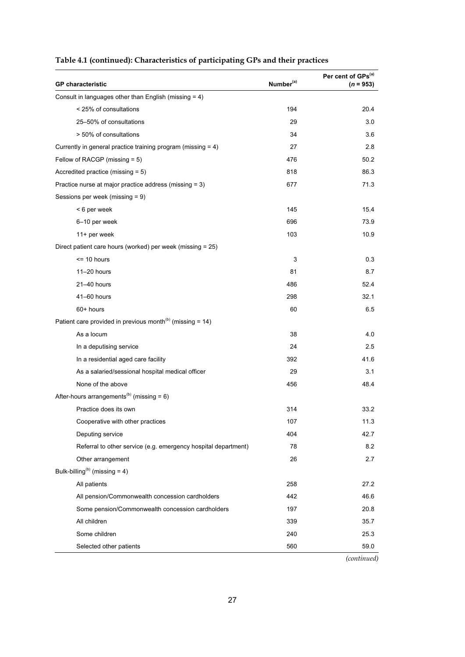| <b>GP</b> characteristic                                              | Number <sup>(a)</sup> | Per cent of GPs(a)<br>$(n = 953)$ |
|-----------------------------------------------------------------------|-----------------------|-----------------------------------|
| Consult in languages other than English (missing = 4)                 |                       |                                   |
| < 25% of consultations                                                | 194                   | 20.4                              |
| 25-50% of consultations                                               | 29                    | 3.0                               |
| > 50% of consultations                                                | 34                    | 3.6                               |
| Currently in general practice training program (missing = 4)          | 27                    | 2.8                               |
| Fellow of RACGP (missing = 5)                                         | 476                   | 50.2                              |
| Accredited practice (missing $= 5$ )                                  | 818                   | 86.3                              |
| Practice nurse at major practice address (missing = 3)                | 677                   | 71.3                              |
| Sessions per week (missing = 9)                                       |                       |                                   |
| < 6 per week                                                          | 145                   | 15.4                              |
| 6-10 per week                                                         | 696                   | 73.9                              |
| 11+ per week                                                          | 103                   | 10.9                              |
| Direct patient care hours (worked) per week (missing = 25)            |                       |                                   |
| $= 10$ hours                                                          | 3                     | 0.3                               |
| $11-20$ hours                                                         | 81                    | 8.7                               |
| 21-40 hours                                                           | 486                   | 52.4                              |
| 41-60 hours                                                           | 298                   | 32.1                              |
| 60+ hours                                                             | 60                    | 6.5                               |
| Patient care provided in previous month <sup>(b)</sup> (missing = 14) |                       |                                   |
| As a locum                                                            | 38                    | 4.0                               |
| In a deputising service                                               | 24                    | 2.5                               |
| In a residential aged care facility                                   | 392                   | 41.6                              |
| As a salaried/sessional hospital medical officer                      | 29                    | 3.1                               |
| None of the above                                                     | 456                   | 48.4                              |
| After-hours arrangements <sup>(b)</sup> (missing = $6$ )              |                       |                                   |
| Practice does its own                                                 | 314                   | 33.2                              |
| Cooperative with other practices                                      | 107                   | 11.3                              |
| Deputing service                                                      | 404                   | 42.7                              |
| Referral to other service (e.g. emergency hospital department)        | 78                    | 8.2                               |
| Other arrangement                                                     | 26                    | 2.7                               |
| Bulk-billing <sup>(b)</sup> (missing = 4)                             |                       |                                   |
| All patients                                                          | 258                   | 27.2                              |
| All pension/Commonwealth concession cardholders                       | 442                   | 46.6                              |
| Some pension/Commonwealth concession cardholders                      | 197                   | 20.8                              |
| All children                                                          | 339                   | 35.7                              |
| Some children                                                         | 240                   | 25.3                              |
| Selected other patients                                               | 560                   | 59.0                              |

### **Table 4.1 (continued): Characteristics of participating GPs and their practices**

*(continued)*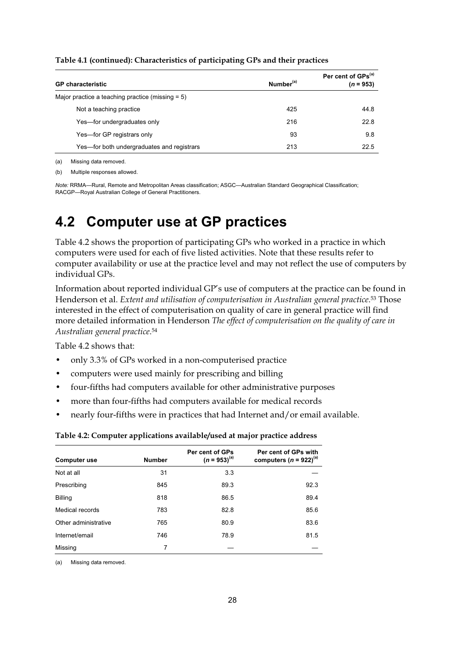| <b>GP</b> characteristic                            | Number <sup>(a)</sup> | Per cent of GPs <sup>(a)</sup><br>$(n = 953)$ |
|-----------------------------------------------------|-----------------------|-----------------------------------------------|
| Major practice a teaching practice (missing $= 5$ ) |                       |                                               |
| Not a teaching practice                             | 425                   | 44.8                                          |
| Yes-for undergraduates only                         | 216                   | 22.8                                          |
| Yes-for GP registrars only                          | 93                    | 9.8                                           |
| Yes—for both undergraduates and registrars          | 213                   | 22.5                                          |

**Table 4.1 (continued): Characteristics of participating GPs and their practices** 

(a) Missing data removed. (b) Multiple responses allowed.

*Note:* RRMA—Rural, Remote and Metropolitan Areas classification; ASGC—Australian Standard Geographical Classification; RACGP—Royal Australian College of General Practitioners.

## $4.2$ **4.2 Computer use at GP practices**

Table 4.2 shows the proportion of participating GPs who worked in a practice in which computers were used for each of five listed activities. Note that these results refer to computer availability or use at the practice level and may not reflect the use of computers by individual GPs.

Information about reported individual GP's use of computers at the practice can be found in Henderson et al. *Extent and utilisation of computerisation in Australian general practice*.53 Those interested in the effect of computerisation on quality of care in general practice will find more detailed information in Henderson *The effect of computerisation on the quality of care in Australian general practice*.54

Table 4.2 shows that:

- only 3.3% of GPs worked in a non-computerised practice
- computers were used mainly for prescribing and billing
- four-fifths had computers available for other administrative purposes
- more than four-fifths had computers available for medical records
- nearly four-fifths were in practices that had Internet and/or email available.

#### **Table 4.2: Computer applications available/used at major practice address**

| <b>Computer use</b>  | <b>Number</b> | Per cent of GPs<br>$(n = 953)^{(a)}$ | Per cent of GPs with<br>computers ( $n = 922$ ) <sup>(a)</sup> |
|----------------------|---------------|--------------------------------------|----------------------------------------------------------------|
| Not at all           | 31            | 3.3                                  |                                                                |
| Prescribing          | 845           | 89.3                                 | 92.3                                                           |
| <b>Billing</b>       | 818           | 86.5                                 | 89.4                                                           |
| Medical records      | 783           | 82.8                                 | 85.6                                                           |
| Other administrative | 765           | 80.9                                 | 83.6                                                           |
| Internet/email       | 746           | 78.9                                 | 81.5                                                           |
| Missing              | 7             |                                      |                                                                |

(a) Missing data removed.